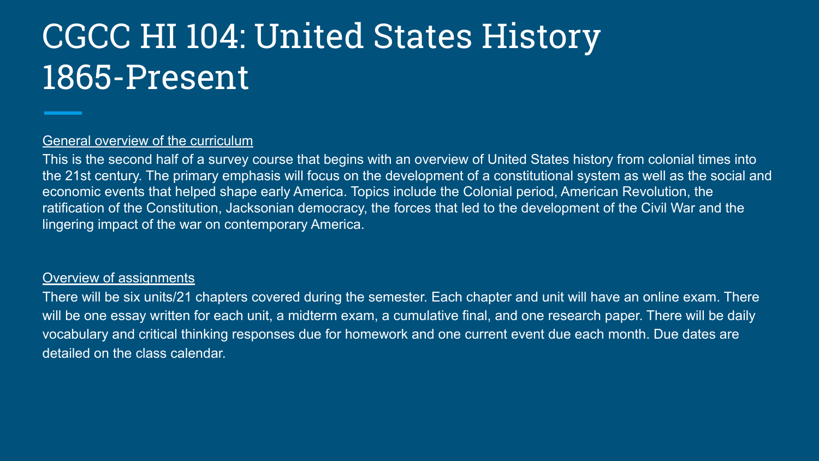# CGCC HI 104: United States History 1865-Present

#### General overview of the curriculum

This is the second half of a survey course that begins with an overview of United States history from colonial times into the 21st century. The primary emphasis will focus on the development of a constitutional system as well as the social and economic events that helped shape early America. Topics include the Colonial period, American Revolution, the ratification of the Constitution, Jacksonian democracy, the forces that led to the development of the Civil War and the lingering impact of the war on contemporary America.

## Overview of assignments

There will be six units/21 chapters covered during the semester. Each chapter and unit will have an online exam. There will be one essay written for each unit, a midterm exam, a cumulative final, and one research paper. There will be daily vocabulary and critical thinking responses due for homework and one current event due each month. Due dates are detailed on the class calendar.